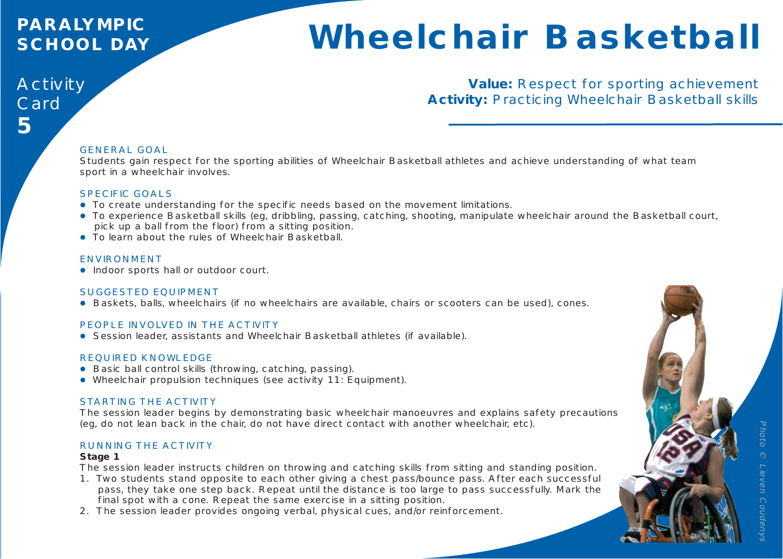## **PARALYMPIC SCHOOL DAY**

# **Wheelchair Basketball**

## Activity Card **5**

#### **Value:** Respect for sporting achievement **Activity:** Practicing Wheelchair Basketball skills

#### GENERAL GOAL

Students gain respect for the sporting abilities of Wheelchair Basketball athletes and achieve understanding of what team sport in a wheelchair involves.

#### SPECIFIC GOALS

- To create understanding for the specific needs based on the movement limitations.
- To experience Basketball skills (eg, dribbling, passing, catching, shooting, manipulate wheelchair around the Basketball court, pick up a ball from the floor) from a sitting position.
- To learn about the rules of Wheelchair Basketball.

#### ENVIRONMENT

• Indoor sports hall or outdoor court.

#### SUGGESTED EQUIPMENT

• Baskets, balls, wheelchairs (if no wheelchairs are available, chairs or scooters can be used), cones.

#### PEOPLE INVOLVED IN THE ACTIVITY

**•** Session leader, assistants and Wheelchair Basketball athletes (if available).

#### REQUIRED KNOWLEDGE

- Basic ball control skills (throwing, catching, passing).
- Wheelchair propulsion techniques (see activity 11: Equipment).

#### STARTING THE ACTIVITY

The session leader begins by demonstrating basic wheelchair manoeuvres and explains safety precautions (eg, do not lean back in the chair, do not have direct contact with another wheelchair, etc).

#### RUNNING THE ACTIVITY

#### **Stage 1**

The session leader instructs children on throwing and catching skills from sitting and standing position.

- 1. Two students stand opposite to each other giving a chest pass/bounce pass. After each successful pass, they take one step back. Repeat until the distance is too large to pass successfully. Mark the final spot with a cone. Repeat the same exercise in a sitting position.
- 2. The session leader provides ongoing verbal, physical cues, and/or reinforcement.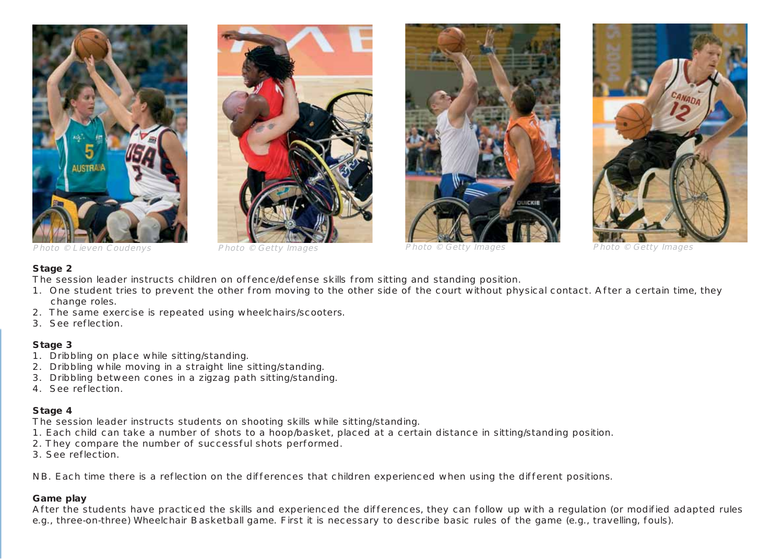







#### **Stage 2**

The session leader instructs children on offence/defense skills from sitting and standing position.

- 1. One student tries to prevent the other from moving to the other side of the court without physical contact. After a certain time, they change roles.
- 2. The same exercise is repeated using wheelchairs/scooters.
- 3. See reflection.

#### **Stage 3**

- 1. Dribbling on place while sitting/standing.
- 2. Dribbling while moving in a straight line sitting/standing.
- 3. Dribbling between cones in a zigzag path sitting/standing.
- 4. See reflection.

#### **Stage 4**

The session leader instructs students on shooting skills while sitting/standing.

- 1. Each child can take a number of shots to a hoop/basket, placed at a certain distance in sitting/standing position.
- 2. They compare the number of successful shots performed.
- 3. See reflection.

NB. Each time there is a reflection on the differences that children experienced when using the different positions.

#### **Game play**

After the students have practiced the skills and experienced the differences, they can follow up with a regulation (or modified adapted rules e.g., three-on-three) Wheelchair Basketball game. First it is necessary to describe basic rules of the game (e.g., travelling, fouls).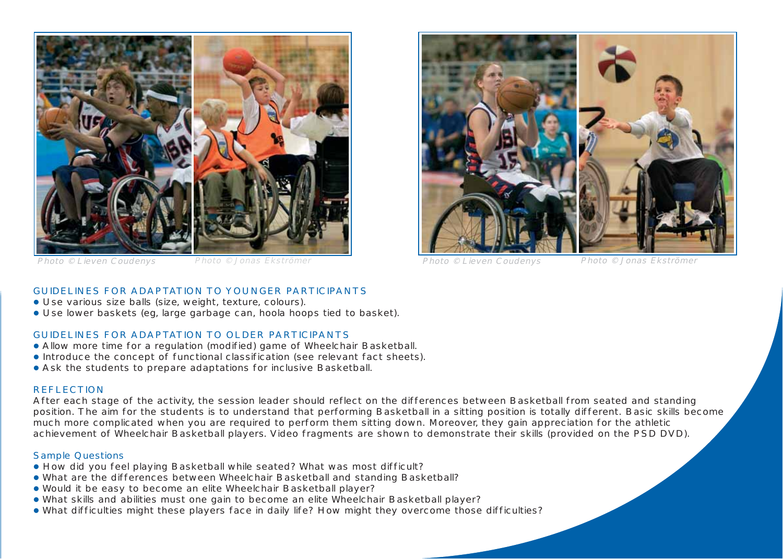



Photo © Lieven Coudenys Photo © Jonas Ekströmer Photo © Lieven Coudenys Photo © Jonas Ekströmer

#### GUIDELINES FOR ADAPTATION TO YOUNGER PARTICIPANTS

- Use various size balls (size, weight, texture, colours).
- Use lower baskets (eg, large garbage can, hoola hoops tied to basket).

#### GUIDELINES FOR ADAPTATION TO OLDER PARTICIPANTS

- Allow more time for a regulation (modified) game of Wheelchair Basketball.
- Introduce the concept of functional classification (see relevant fact sheets).
- Ask the students to prepare adaptations for inclusive Basketball.

#### REFLECTION

After each stage of the activity, the session leader should reflect on the differences between Basketball from seated and standing position. The aim for the students is to understand that performing Basketball in a sitting position is totally different. Basic skills become much more complicated when you are required to perform them sitting down. Moreover, they gain appreciation for the athletic achievement of Wheelchair Basketball players. Video fragments are shown to demonstrate their skills (provided on the PSD DVD).

#### Sample Questions

- How did you feel playing Basketball while seated? What was most difficult?
- What are the differences between Wheelchair Basketball and standing Basketball?
- Would it be easy to become an elite Wheelchair Basketball player?
- What skills and abilities must one gain to become an elite Wheelchair Basketball player?
- What difficulties might these players face in daily life? How might they overcome those difficulties?